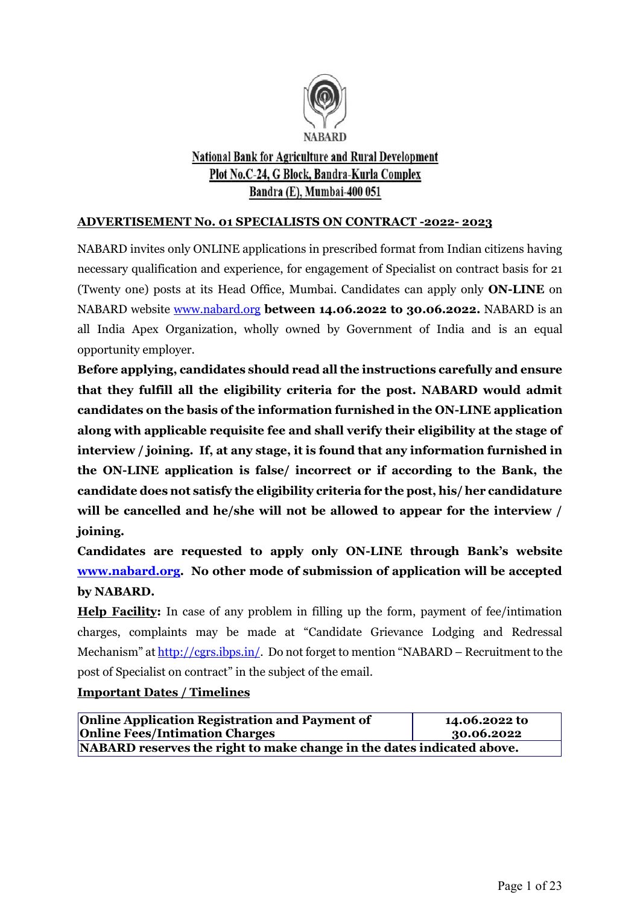

# **National Bank for Agriculture and Rural Development** Plot No.C-24, G Block, Bandra-Kurla Complex Bandra (E), Mumbai-400 051

#### **ADVERTISEMENT No. 01 SPECIALISTS ON CONTRACT -2022- 2023**

NABARD invites only ONLINE applications in prescribed format from Indian citizens having necessary qualification and experience, for engagement of Specialist on contract basis for 21 (Twenty one) posts at its Head Office, Mumbai. Candidates can apply only **ON-LINE** on NABARD website [www.nabard.org](http://www.nabard.org/) **between 14.06.2022 to 30.06.2022.** NABARD is an all India Apex Organization, wholly owned by Government of India and is an equal opportunity employer.

**Before applying, candidates should read all the instructions carefully and ensure that they fulfill all the eligibility criteria for the post. NABARD would admit candidates on the basis of the information furnished in the ON-LINE application along with applicable requisite fee and shall verify their eligibility at the stage of interview / joining. If, at any stage, it is found that any information furnished in the ON-LINE application is false/ incorrect or if according to the Bank, the candidate does not satisfy the eligibility criteria for the post, his/ her candidature will be cancelled and he/she will not be allowed to appear for the interview / joining.**

**Candidates are requested to apply only ON-LINE through Bank's website [www.nabard.org.](http://www.nabard.org/) No other mode of submission of application will be accepted by NABARD.**

**Help Facility:** In case of any problem in filling up the form, payment of fee/intimation charges, complaints may be made at "Candidate Grievance Lodging and Redressal Mechanism" at [http://cgrs.ibps.in/.](http://cgrs.ibps.in/) Do not forget to mention "NABARD – Recruitment to the post of Specialist on contract" in the subject of the email.

#### **Important Dates / Timelines**

| <b>Online Application Registration and Payment of</b>                  | 14.06.2022 to |  |
|------------------------------------------------------------------------|---------------|--|
| <b>Online Fees/Intimation Charges</b>                                  | 30.06.2022    |  |
| NABARD reserves the right to make change in the dates indicated above. |               |  |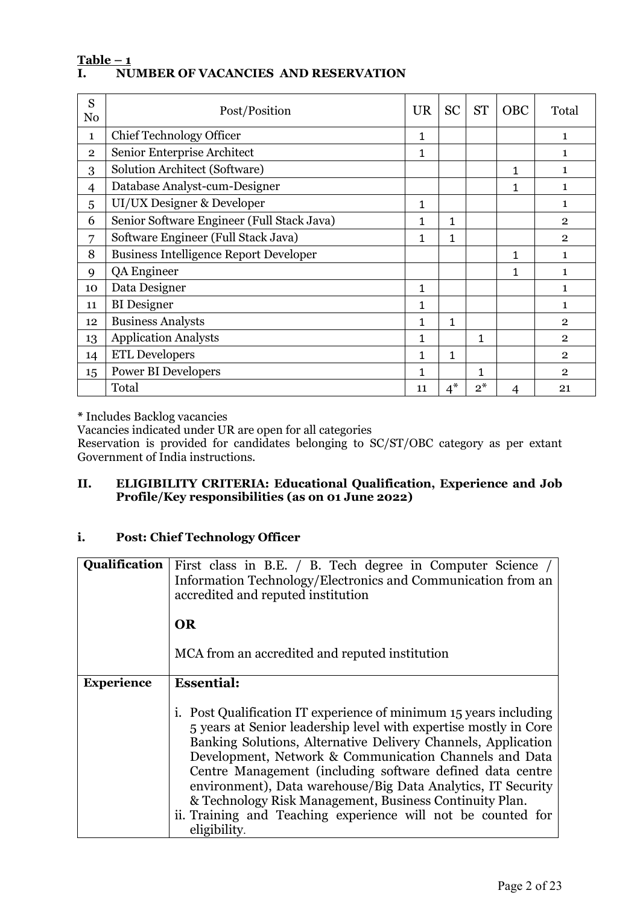#### **Table – 1 I. NUMBER OF VACANCIES AND RESERVATION**

| S<br>N <sub>0</sub> | Post/Position                                 |   | <b>SC</b>    | <b>ST</b>    | <b>OBC</b>   | Total          |
|---------------------|-----------------------------------------------|---|--------------|--------------|--------------|----------------|
| $\mathbf{1}$        | <b>Chief Technology Officer</b>               | 1 |              |              |              | $\mathbf{1}$   |
| $\overline{2}$      | Senior Enterprise Architect                   | 1 |              |              |              | $\mathbf{1}$   |
| 3                   | <b>Solution Architect (Software)</b>          |   |              |              | 1            | $\mathbf{1}$   |
| 4                   | Database Analyst-cum-Designer                 |   |              |              | 1            | 1              |
| 5                   | UI/UX Designer & Developer                    | 1 |              |              |              | 1              |
| 6                   | Senior Software Engineer (Full Stack Java)    | 1 | 1            |              |              | $\mathbf{2}$   |
| 7                   | Software Engineer (Full Stack Java)           |   | 1            |              |              | $\overline{2}$ |
| 8                   | <b>Business Intelligence Report Developer</b> |   |              |              | $\mathbf{1}$ | 1              |
| 9                   | QA Engineer                                   |   |              |              | 1            | $\mathbf{1}$   |
| 10                  | Data Designer                                 |   |              |              |              | 1              |
| 11                  | <b>BI</b> Designer                            |   |              |              |              | 1              |
| 12                  | <b>Business Analysts</b>                      |   | 1            |              |              | $\overline{2}$ |
| 13                  | <b>Application Analysts</b>                   |   |              | $\mathbf{1}$ |              | $\overline{2}$ |
| 14                  | <b>ETL Developers</b>                         |   | $\mathbf{1}$ |              |              | $\overline{2}$ |
| 15                  | <b>Power BI Developers</b>                    |   |              | $\mathbf{1}$ |              | $\overline{2}$ |
|                     | Total                                         |   | $4^*$        | $2^*$        | 4            | 21             |

**\*** Includes Backlog vacancies

Vacancies indicated under UR are open for all categories

Reservation is provided for candidates belonging to SC/ST/OBC category as per extant Government of India instructions.

#### **II. ELIGIBILITY CRITERIA: Educational Qualification, Experience and Job Profile/Key responsibilities (as on 01 June 2022)**

### **i. Post: Chief Technology Officer**

| <b>Qualification</b> | First class in B.E. / B. Tech degree in Computer Science /<br>Information Technology/Electronics and Communication from an<br>accredited and reputed institution                                                                                                                                                                                                                                                                                                                                                                         |
|----------------------|------------------------------------------------------------------------------------------------------------------------------------------------------------------------------------------------------------------------------------------------------------------------------------------------------------------------------------------------------------------------------------------------------------------------------------------------------------------------------------------------------------------------------------------|
|                      | <b>OR</b>                                                                                                                                                                                                                                                                                                                                                                                                                                                                                                                                |
|                      | MCA from an accredited and reputed institution                                                                                                                                                                                                                                                                                                                                                                                                                                                                                           |
| <b>Experience</b>    | <b>Essential:</b>                                                                                                                                                                                                                                                                                                                                                                                                                                                                                                                        |
|                      | i. Post Qualification IT experience of minimum 15 years including<br>5 years at Senior leadership level with expertise mostly in Core<br>Banking Solutions, Alternative Delivery Channels, Application<br>Development, Network & Communication Channels and Data<br>Centre Management (including software defined data centre<br>environment), Data warehouse/Big Data Analytics, IT Security<br>& Technology Risk Management, Business Continuity Plan.<br>ii. Training and Teaching experience will not be counted for<br>eligibility. |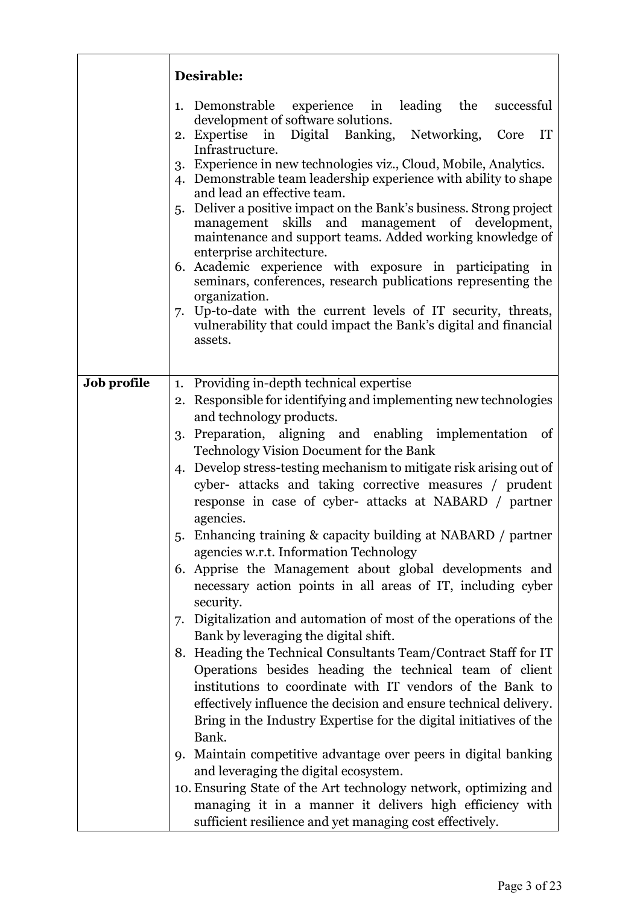|             | Desirable:                                                                                                                                                                                                                                                                                                                                                                                                                                                                                                                                                                                                                                                                                                                                                                                                                                                                                                                                                                                                                                                                                                                                                                                                                                                                                                                                                                                                                                                                         |
|-------------|------------------------------------------------------------------------------------------------------------------------------------------------------------------------------------------------------------------------------------------------------------------------------------------------------------------------------------------------------------------------------------------------------------------------------------------------------------------------------------------------------------------------------------------------------------------------------------------------------------------------------------------------------------------------------------------------------------------------------------------------------------------------------------------------------------------------------------------------------------------------------------------------------------------------------------------------------------------------------------------------------------------------------------------------------------------------------------------------------------------------------------------------------------------------------------------------------------------------------------------------------------------------------------------------------------------------------------------------------------------------------------------------------------------------------------------------------------------------------------|
|             | 1. Demonstrable experience in leading the successful<br>development of software solutions.<br>2. Expertise in Digital Banking, Networking, Core<br>IT<br>Infrastructure.<br>3. Experience in new technologies viz., Cloud, Mobile, Analytics.<br>4. Demonstrable team leadership experience with ability to shape<br>and lead an effective team.<br>5. Deliver a positive impact on the Bank's business. Strong project<br>management skills and management of development,<br>maintenance and support teams. Added working knowledge of<br>enterprise architecture.<br>6. Academic experience with exposure in participating in<br>seminars, conferences, research publications representing the<br>organization.<br>7. Up-to-date with the current levels of IT security, threats,<br>vulnerability that could impact the Bank's digital and financial<br>assets.                                                                                                                                                                                                                                                                                                                                                                                                                                                                                                                                                                                                                |
| Job profile | 1. Providing in-depth technical expertise<br>2. Responsible for identifying and implementing new technologies<br>and technology products.<br>Preparation, aligning and enabling implementation of<br>3.<br>Technology Vision Document for the Bank<br>4. Develop stress-testing mechanism to mitigate risk arising out of<br>cyber- attacks and taking corrective measures / prudent<br>response in case of cyber- attacks at NABARD / partner<br>agencies.<br>5. Enhancing training & capacity building at NABARD / partner<br>agencies w.r.t. Information Technology<br>6. Apprise the Management about global developments and<br>necessary action points in all areas of IT, including cyber<br>security.<br>7. Digitalization and automation of most of the operations of the<br>Bank by leveraging the digital shift.<br>8. Heading the Technical Consultants Team/Contract Staff for IT<br>Operations besides heading the technical team of client<br>institutions to coordinate with IT vendors of the Bank to<br>effectively influence the decision and ensure technical delivery.<br>Bring in the Industry Expertise for the digital initiatives of the<br>Bank.<br>9. Maintain competitive advantage over peers in digital banking<br>and leveraging the digital ecosystem.<br>10. Ensuring State of the Art technology network, optimizing and<br>managing it in a manner it delivers high efficiency with<br>sufficient resilience and yet managing cost effectively. |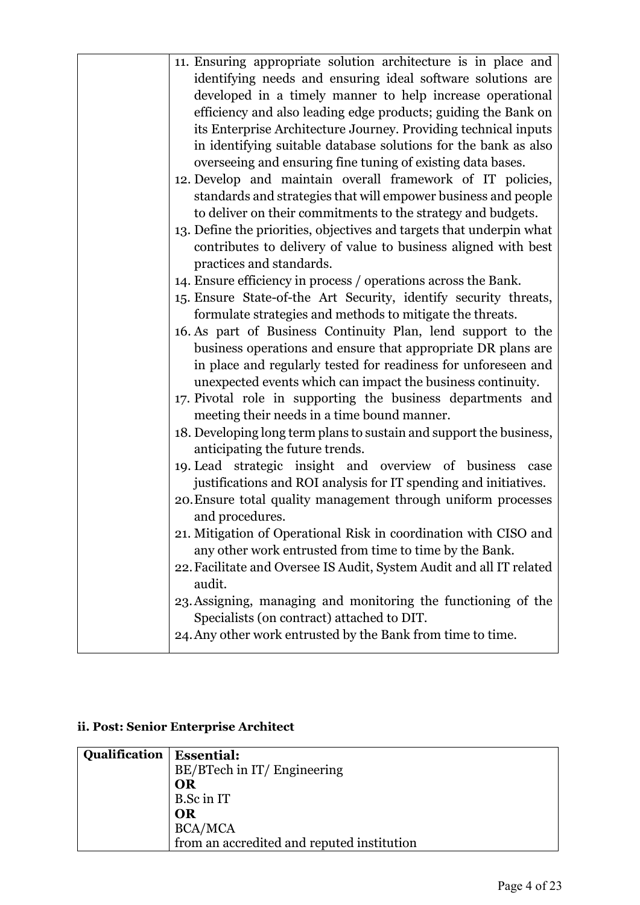| 11. Ensuring appropriate solution architecture is in place and       |
|----------------------------------------------------------------------|
| identifying needs and ensuring ideal software solutions are          |
| developed in a timely manner to help increase operational            |
| efficiency and also leading edge products; guiding the Bank on       |
| its Enterprise Architecture Journey. Providing technical inputs      |
| in identifying suitable database solutions for the bank as also      |
| overseeing and ensuring fine tuning of existing data bases.          |
| 12. Develop and maintain overall framework of IT policies,           |
| standards and strategies that will empower business and people       |
| to deliver on their commitments to the strategy and budgets.         |
| 13. Define the priorities, objectives and targets that underpin what |
| contributes to delivery of value to business aligned with best       |
| practices and standards.                                             |
| 14. Ensure efficiency in process / operations across the Bank.       |
| 15. Ensure State-of-the Art Security, identify security threats,     |
| formulate strategies and methods to mitigate the threats.            |
| 16. As part of Business Continuity Plan, lend support to the         |
| business operations and ensure that appropriate DR plans are         |
| in place and regularly tested for readiness for unforeseen and       |
| unexpected events which can impact the business continuity.          |
| 17. Pivotal role in supporting the business departments and          |
| meeting their needs in a time bound manner.                          |
| 18. Developing long term plans to sustain and support the business,  |
| anticipating the future trends.                                      |
| 19. Lead strategic insight and overview of business case             |
| justifications and ROI analysis for IT spending and initiatives.     |
| 20. Ensure total quality management through uniform processes        |
| and procedures.                                                      |
| 21. Mitigation of Operational Risk in coordination with CISO and     |
| any other work entrusted from time to time by the Bank.              |
| 22. Facilitate and Oversee IS Audit, System Audit and all IT related |
| audit.                                                               |
| 23. Assigning, managing and monitoring the functioning of the        |
| Specialists (on contract) attached to DIT.                           |
| 24. Any other work entrusted by the Bank from time to time.          |
|                                                                      |

# **ii. Post: Senior Enterprise Architect**

| <b>Qualification   Essential:</b> |                                            |
|-----------------------------------|--------------------------------------------|
|                                   | BE/BTech in IT/ Engineering                |
|                                   | <b>OR</b>                                  |
|                                   | B.Sc in IT                                 |
|                                   | OR                                         |
|                                   | <b>BCA/MCA</b>                             |
|                                   | from an accredited and reputed institution |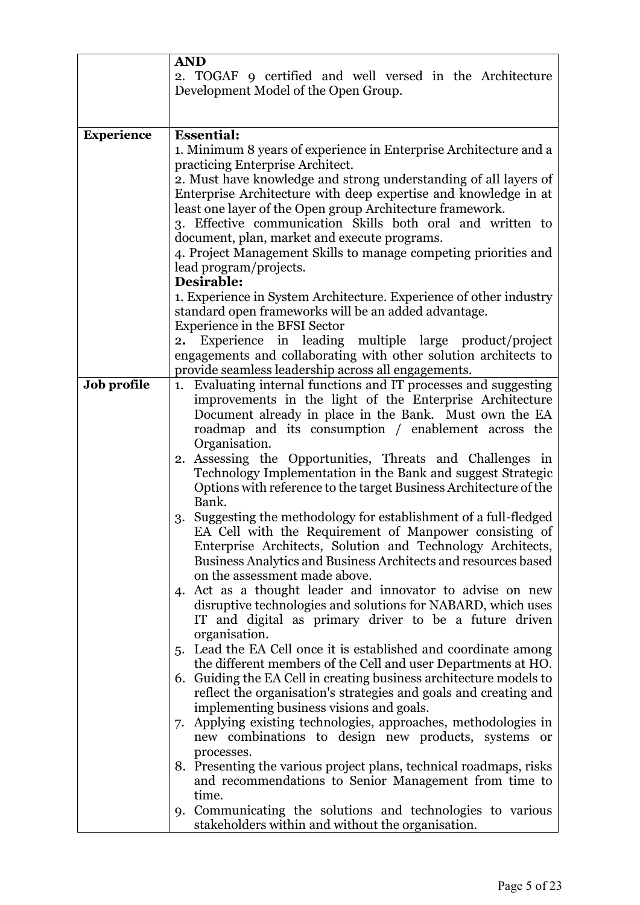|                   | <b>AND</b>                                                                                                                 |
|-------------------|----------------------------------------------------------------------------------------------------------------------------|
|                   | 2. TOGAF 9 certified and well versed in the Architecture                                                                   |
|                   | Development Model of the Open Group.                                                                                       |
|                   |                                                                                                                            |
| <b>Experience</b> | <b>Essential:</b>                                                                                                          |
|                   | 1. Minimum 8 years of experience in Enterprise Architecture and a                                                          |
|                   | practicing Enterprise Architect.                                                                                           |
|                   | 2. Must have knowledge and strong understanding of all layers of                                                           |
|                   | Enterprise Architecture with deep expertise and knowledge in at                                                            |
|                   | least one layer of the Open group Architecture framework.                                                                  |
|                   | 3. Effective communication Skills both oral and written to                                                                 |
|                   | document, plan, market and execute programs.                                                                               |
|                   | 4. Project Management Skills to manage competing priorities and                                                            |
|                   | lead program/projects.                                                                                                     |
|                   | Desirable:                                                                                                                 |
|                   | 1. Experience in System Architecture. Experience of other industry<br>standard open frameworks will be an added advantage. |
|                   | Experience in the BFSI Sector                                                                                              |
|                   | Experience in leading multiple large product/project<br>2.                                                                 |
|                   | engagements and collaborating with other solution architects to                                                            |
|                   | provide seamless leadership across all engagements.                                                                        |
| Job profile       | 1. Evaluating internal functions and IT processes and suggesting                                                           |
|                   | improvements in the light of the Enterprise Architecture                                                                   |
|                   | Document already in place in the Bank. Must own the EA                                                                     |
|                   | roadmap and its consumption / enablement across the                                                                        |
|                   | Organisation.                                                                                                              |
|                   | 2. Assessing the Opportunities, Threats and Challenges in<br>Technology Implementation in the Bank and suggest Strategic   |
|                   | Options with reference to the target Business Architecture of the                                                          |
|                   | Bank.                                                                                                                      |
|                   | 3. Suggesting the methodology for establishment of a full-fledged                                                          |
|                   | EA Cell with the Requirement of Manpower consisting of                                                                     |
|                   | Enterprise Architects, Solution and Technology Architects,                                                                 |
|                   | Business Analytics and Business Architects and resources based                                                             |
|                   | on the assessment made above.                                                                                              |
|                   | 4. Act as a thought leader and innovator to advise on new                                                                  |
|                   | disruptive technologies and solutions for NABARD, which uses                                                               |
|                   | IT and digital as primary driver to be a future driven<br>organisation.                                                    |
|                   | 5. Lead the EA Cell once it is established and coordinate among                                                            |
|                   | the different members of the Cell and user Departments at HO.                                                              |
|                   | 6. Guiding the EA Cell in creating business architecture models to                                                         |
|                   | reflect the organisation's strategies and goals and creating and                                                           |
|                   | implementing business visions and goals.                                                                                   |
|                   | Applying existing technologies, approaches, methodologies in<br>7.                                                         |
|                   | new combinations to design new products, systems or                                                                        |
|                   | processes.                                                                                                                 |
|                   | 8. Presenting the various project plans, technical roadmaps, risks                                                         |
|                   | and recommendations to Senior Management from time to                                                                      |
|                   | time.<br>9. Communicating the solutions and technologies to various                                                        |
|                   | stakeholders within and without the organisation.                                                                          |
|                   |                                                                                                                            |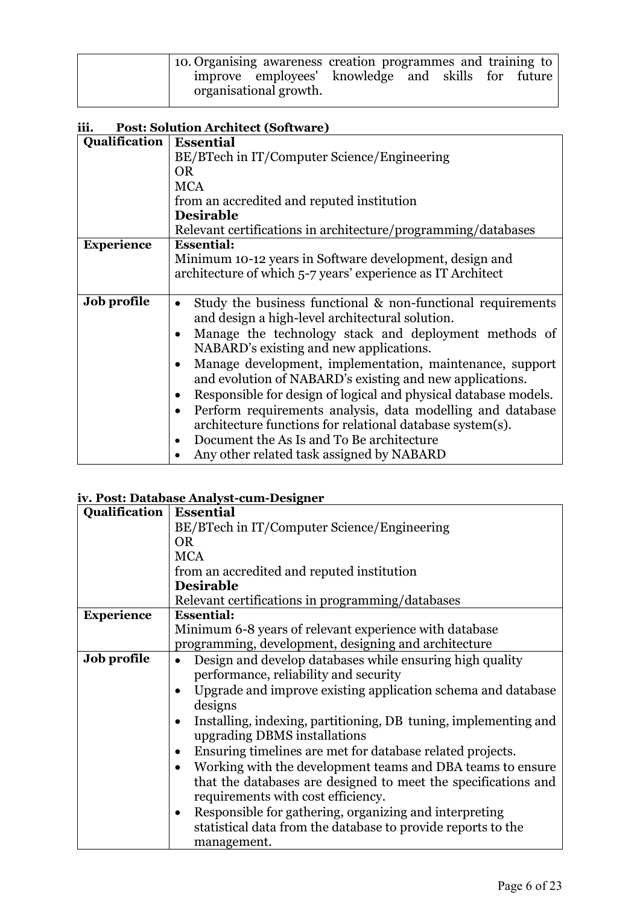| 10. Organising awareness creation programmes and training to |                                                                              |  |  |  |
|--------------------------------------------------------------|------------------------------------------------------------------------------|--|--|--|
|                                                              | improve employees' knowledge and skills for future<br>organisational growth. |  |  |  |

### **iii. Post: Solution Architect (Software)**

|                   | 1 ost: sorution Alemicet (software)                                                                                                                                                                                                                                                                                                                                  |  |  |
|-------------------|----------------------------------------------------------------------------------------------------------------------------------------------------------------------------------------------------------------------------------------------------------------------------------------------------------------------------------------------------------------------|--|--|
| Qualification     | <b>Essential</b>                                                                                                                                                                                                                                                                                                                                                     |  |  |
|                   | BE/BTech in IT/Computer Science/Engineering                                                                                                                                                                                                                                                                                                                          |  |  |
|                   | <b>OR</b>                                                                                                                                                                                                                                                                                                                                                            |  |  |
|                   | <b>MCA</b>                                                                                                                                                                                                                                                                                                                                                           |  |  |
|                   | from an accredited and reputed institution                                                                                                                                                                                                                                                                                                                           |  |  |
|                   | <b>Desirable</b>                                                                                                                                                                                                                                                                                                                                                     |  |  |
|                   | Relevant certifications in architecture/programming/databases                                                                                                                                                                                                                                                                                                        |  |  |
| <b>Experience</b> | <b>Essential:</b>                                                                                                                                                                                                                                                                                                                                                    |  |  |
|                   | Minimum 10-12 years in Software development, design and                                                                                                                                                                                                                                                                                                              |  |  |
|                   | architecture of which 5-7 years' experience as IT Architect                                                                                                                                                                                                                                                                                                          |  |  |
|                   |                                                                                                                                                                                                                                                                                                                                                                      |  |  |
| Job profile       | Study the business functional & non-functional requirements<br>$\bullet$<br>and design a high-level architectural solution.<br>Manage the technology stack and deployment methods of<br>NABARD's existing and new applications.<br>Manage development, implementation, maintenance, support<br>$\bullet$<br>and evolution of NABARD's existing and new applications. |  |  |
|                   | Responsible for design of logical and physical database models.<br>$\bullet$<br>Perform requirements analysis, data modelling and database<br>$\bullet$<br>architecture functions for relational database system(s).<br>Document the As Is and To Be architecture<br>$\bullet$                                                                                       |  |  |
|                   | Any other related task assigned by NABARD                                                                                                                                                                                                                                                                                                                            |  |  |

#### **iv. Post: Database Analyst-cum-Designer**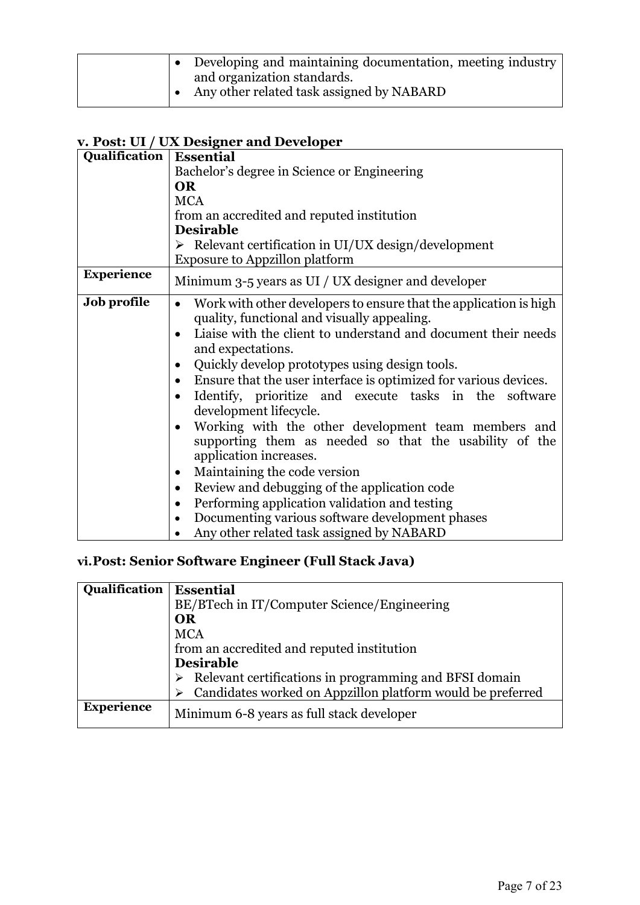### **v. Post: UI / UX Designer and Developer**

| Qualification     | <b>Essential</b>                                                                                                                                                                                                                                                                                                                                                                                                                                                                                                                                                                                                                                                                                                                                                                                                                                                                             |  |  |  |
|-------------------|----------------------------------------------------------------------------------------------------------------------------------------------------------------------------------------------------------------------------------------------------------------------------------------------------------------------------------------------------------------------------------------------------------------------------------------------------------------------------------------------------------------------------------------------------------------------------------------------------------------------------------------------------------------------------------------------------------------------------------------------------------------------------------------------------------------------------------------------------------------------------------------------|--|--|--|
|                   | Bachelor's degree in Science or Engineering                                                                                                                                                                                                                                                                                                                                                                                                                                                                                                                                                                                                                                                                                                                                                                                                                                                  |  |  |  |
|                   | <b>OR</b>                                                                                                                                                                                                                                                                                                                                                                                                                                                                                                                                                                                                                                                                                                                                                                                                                                                                                    |  |  |  |
|                   | <b>MCA</b>                                                                                                                                                                                                                                                                                                                                                                                                                                                                                                                                                                                                                                                                                                                                                                                                                                                                                   |  |  |  |
|                   | from an accredited and reputed institution                                                                                                                                                                                                                                                                                                                                                                                                                                                                                                                                                                                                                                                                                                                                                                                                                                                   |  |  |  |
|                   | <b>Desirable</b>                                                                                                                                                                                                                                                                                                                                                                                                                                                                                                                                                                                                                                                                                                                                                                                                                                                                             |  |  |  |
|                   | $\triangleright$ Relevant certification in UI/UX design/development                                                                                                                                                                                                                                                                                                                                                                                                                                                                                                                                                                                                                                                                                                                                                                                                                          |  |  |  |
|                   | <b>Exposure to Appzillon platform</b>                                                                                                                                                                                                                                                                                                                                                                                                                                                                                                                                                                                                                                                                                                                                                                                                                                                        |  |  |  |
| <b>Experience</b> | Minimum 3-5 years as UI / UX designer and developer                                                                                                                                                                                                                                                                                                                                                                                                                                                                                                                                                                                                                                                                                                                                                                                                                                          |  |  |  |
| Job profile       | Work with other developers to ensure that the application is high<br>$\bullet$<br>quality, functional and visually appealing.<br>Liaise with the client to understand and document their needs<br>and expectations.<br>Quickly develop prototypes using design tools.<br>$\bullet$<br>Ensure that the user interface is optimized for various devices.<br>٠<br>Identify, prioritize and execute tasks in the software<br>development lifecycle.<br>Working with the other development team members and<br>$\bullet$<br>supporting them as needed so that the usability of the<br>application increases.<br>Maintaining the code version<br>$\bullet$<br>Review and debugging of the application code<br>$\bullet$<br>Performing application validation and testing<br>$\bullet$<br>Documenting various software development phases<br>$\bullet$<br>Any other related task assigned by NABARD |  |  |  |

# **vi.Post: Senior Software Engineer (Full Stack Java)**

| Qualification     | <b>Essential</b>                                                        |
|-------------------|-------------------------------------------------------------------------|
|                   | BE/BTech in IT/Computer Science/Engineering                             |
|                   | <b>OR</b>                                                               |
|                   | <b>MCA</b>                                                              |
|                   | from an accredited and reputed institution                              |
|                   | <b>Desirable</b>                                                        |
|                   | $\triangleright$ Relevant certifications in programming and BFSI domain |
|                   | Candidates worked on Appzillon platform would be preferred<br>➤         |
| <b>Experience</b> | Minimum 6-8 years as full stack developer                               |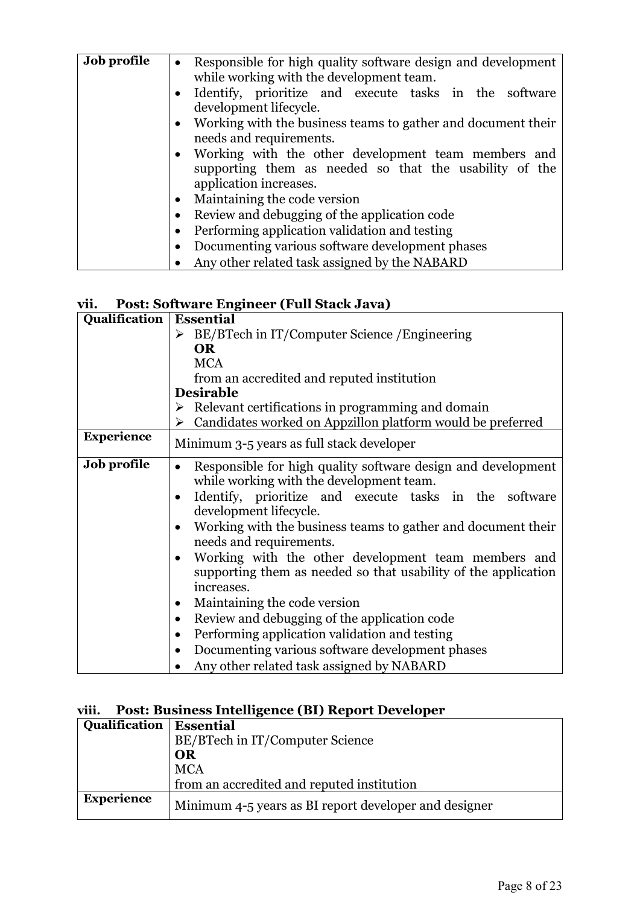| Job profile | • Responsible for high quality software design and development<br>while working with the development team.                                |
|-------------|-------------------------------------------------------------------------------------------------------------------------------------------|
|             | • Identify, prioritize and execute tasks in the software<br>development lifecycle.                                                        |
|             | • Working with the business teams to gather and document their<br>needs and requirements.                                                 |
|             | • Working with the other development team members and<br>supporting them as needed so that the usability of the<br>application increases. |
|             | Maintaining the code version<br>$\bullet$                                                                                                 |
|             | Review and debugging of the application code<br>٠                                                                                         |
|             | Performing application validation and testing<br>$\bullet$                                                                                |
|             | Documenting various software development phases<br>$\bullet$                                                                              |
|             | Any other related task assigned by the NABARD                                                                                             |

### **vii. Post: Software Engineer (Full Stack Java)**

| Qualification      | <b>Essential</b>                                                                                                                                                                                                                                                                                                                                                                                                                                                                                                                                                                                                                                                                                                                              |  |  |
|--------------------|-----------------------------------------------------------------------------------------------------------------------------------------------------------------------------------------------------------------------------------------------------------------------------------------------------------------------------------------------------------------------------------------------------------------------------------------------------------------------------------------------------------------------------------------------------------------------------------------------------------------------------------------------------------------------------------------------------------------------------------------------|--|--|
|                    | BE/BTech in IT/Computer Science / Engineering<br>➤                                                                                                                                                                                                                                                                                                                                                                                                                                                                                                                                                                                                                                                                                            |  |  |
|                    | <b>OR</b>                                                                                                                                                                                                                                                                                                                                                                                                                                                                                                                                                                                                                                                                                                                                     |  |  |
|                    | <b>MCA</b>                                                                                                                                                                                                                                                                                                                                                                                                                                                                                                                                                                                                                                                                                                                                    |  |  |
|                    | from an accredited and reputed institution                                                                                                                                                                                                                                                                                                                                                                                                                                                                                                                                                                                                                                                                                                    |  |  |
|                    | <b>Desirable</b>                                                                                                                                                                                                                                                                                                                                                                                                                                                                                                                                                                                                                                                                                                                              |  |  |
|                    | $\triangleright$ Relevant certifications in programming and domain                                                                                                                                                                                                                                                                                                                                                                                                                                                                                                                                                                                                                                                                            |  |  |
|                    | Candidates worked on Appzillon platform would be preferred<br>➤                                                                                                                                                                                                                                                                                                                                                                                                                                                                                                                                                                                                                                                                               |  |  |
| <b>Experience</b>  | Minimum 3-5 years as full stack developer                                                                                                                                                                                                                                                                                                                                                                                                                                                                                                                                                                                                                                                                                                     |  |  |
| <b>Job profile</b> | Responsible for high quality software design and development<br>$\bullet$<br>while working with the development team.<br>Identify, prioritize and execute tasks in the software<br>development lifecycle.<br>Working with the business teams to gather and document their<br>$\bullet$<br>needs and requirements.<br>Working with the other development team members and<br>supporting them as needed so that usability of the application<br>increases.<br>Maintaining the code version<br>$\bullet$<br>Review and debugging of the application code<br>$\bullet$<br>Performing application validation and testing<br>$\bullet$<br>Documenting various software development phases<br>$\bullet$<br>Any other related task assigned by NABARD |  |  |

#### **viii. Post: Business Intelligence (BI) Report Developer**

| Qualification     | <b>Essential</b>                                      |
|-------------------|-------------------------------------------------------|
|                   | BE/BTech in IT/Computer Science                       |
|                   | OR                                                    |
|                   | <b>MCA</b>                                            |
|                   | from an accredited and reputed institution            |
| <b>Experience</b> | Minimum 4-5 years as BI report developer and designer |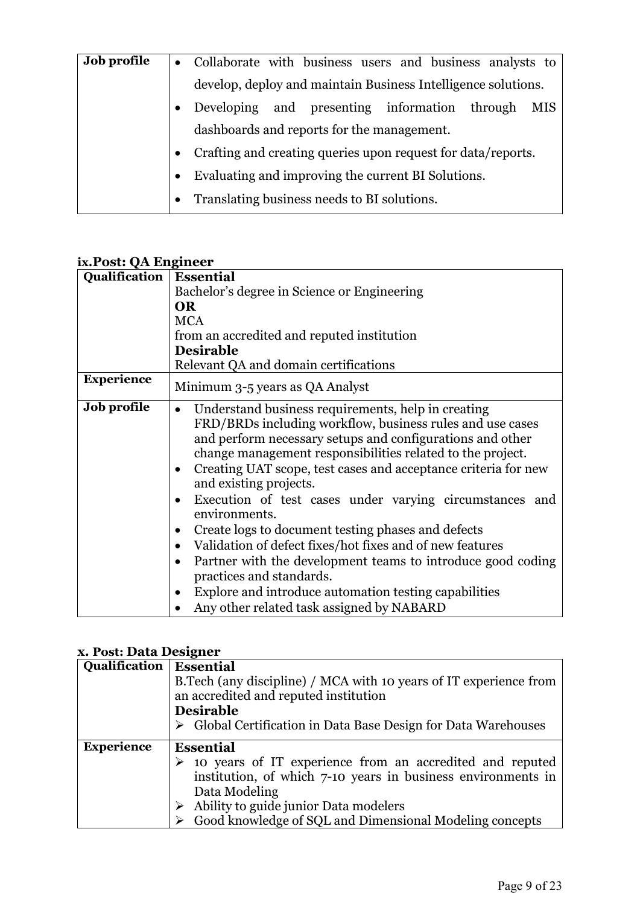| <b>Job profile</b> | • Collaborate with business users and business analysts to        |
|--------------------|-------------------------------------------------------------------|
|                    | develop, deploy and maintain Business Intelligence solutions.     |
|                    | Developing and presenting information through<br>MIS<br>$\bullet$ |
|                    | dashboards and reports for the management.                        |
|                    | • Crafting and creating queries upon request for data/reports.    |
|                    | Evaluating and improving the current BI Solutions.<br>$\bullet$   |
|                    | Translating business needs to BI solutions.<br>$\bullet$          |
|                    |                                                                   |

## **ix.Post: QA Engineer**

| Qualification      | <b>Essential</b>                                                                                                                                                                                                                                                                                                                                                                                                                                                                                                                                                                                                                                                                                                                                                                          |  |  |
|--------------------|-------------------------------------------------------------------------------------------------------------------------------------------------------------------------------------------------------------------------------------------------------------------------------------------------------------------------------------------------------------------------------------------------------------------------------------------------------------------------------------------------------------------------------------------------------------------------------------------------------------------------------------------------------------------------------------------------------------------------------------------------------------------------------------------|--|--|
|                    | Bachelor's degree in Science or Engineering                                                                                                                                                                                                                                                                                                                                                                                                                                                                                                                                                                                                                                                                                                                                               |  |  |
|                    | <b>OR</b>                                                                                                                                                                                                                                                                                                                                                                                                                                                                                                                                                                                                                                                                                                                                                                                 |  |  |
|                    | <b>MCA</b>                                                                                                                                                                                                                                                                                                                                                                                                                                                                                                                                                                                                                                                                                                                                                                                |  |  |
|                    | from an accredited and reputed institution                                                                                                                                                                                                                                                                                                                                                                                                                                                                                                                                                                                                                                                                                                                                                |  |  |
|                    | <b>Desirable</b>                                                                                                                                                                                                                                                                                                                                                                                                                                                                                                                                                                                                                                                                                                                                                                          |  |  |
|                    | Relevant QA and domain certifications                                                                                                                                                                                                                                                                                                                                                                                                                                                                                                                                                                                                                                                                                                                                                     |  |  |
| <b>Experience</b>  | Minimum 3-5 years as QA Analyst                                                                                                                                                                                                                                                                                                                                                                                                                                                                                                                                                                                                                                                                                                                                                           |  |  |
| <b>Job profile</b> | Understand business requirements, help in creating<br>$\bullet$<br>FRD/BRDs including workflow, business rules and use cases<br>and perform necessary setups and configurations and other<br>change management responsibilities related to the project.<br>Creating UAT scope, test cases and acceptance criteria for new<br>$\bullet$<br>and existing projects.<br>Execution of test cases under varying circumstances and<br>environments.<br>Create logs to document testing phases and defects<br>$\bullet$<br>Validation of defect fixes/hot fixes and of new features<br>Partner with the development teams to introduce good coding<br>$\bullet$<br>practices and standards.<br>Explore and introduce automation testing capabilities<br>Any other related task assigned by NABARD |  |  |

# **x. Post: Data Designer**

| Qualification     | <b>Essential</b>                                                              |
|-------------------|-------------------------------------------------------------------------------|
|                   | B. Tech (any discipline) / MCA with 10 years of IT experience from            |
|                   | an accredited and reputed institution                                         |
|                   | <b>Desirable</b>                                                              |
|                   | $\triangleright$ Global Certification in Data Base Design for Data Warehouses |
| <b>Experience</b> | <b>Essential</b>                                                              |
|                   | $\triangleright$ 10 years of IT experience from an accredited and reputed     |
|                   | institution, of which 7-10 years in business environments in                  |
|                   | Data Modeling                                                                 |
|                   | $\triangleright$ Ability to guide junior Data modelers                        |
|                   | Good knowledge of SQL and Dimensional Modeling concepts                       |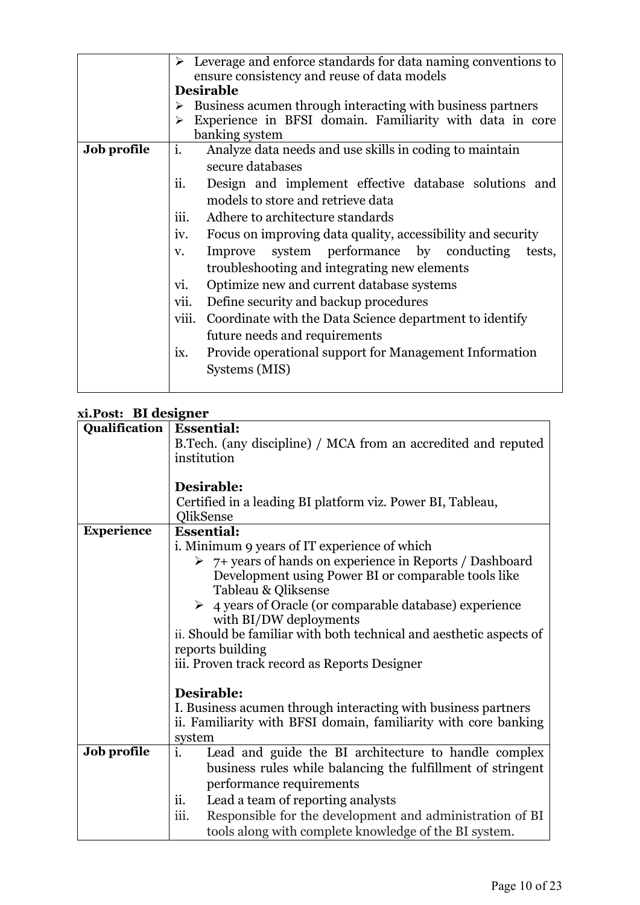|                    | Leverage and enforce standards for data naming conventions to<br>➤<br>ensure consistency and reuse of data models |  |  |  |
|--------------------|-------------------------------------------------------------------------------------------------------------------|--|--|--|
|                    | <b>Desirable</b>                                                                                                  |  |  |  |
|                    | Business acumen through interacting with business partners<br>➤                                                   |  |  |  |
|                    | Experience in BFSI domain. Familiarity with data in core<br>➤                                                     |  |  |  |
|                    | banking system                                                                                                    |  |  |  |
|                    |                                                                                                                   |  |  |  |
| <b>Job profile</b> | i.<br>Analyze data needs and use skills in coding to maintain                                                     |  |  |  |
|                    | secure databases                                                                                                  |  |  |  |
|                    | Design and implement effective database solutions and<br>11.                                                      |  |  |  |
|                    | models to store and retrieve data                                                                                 |  |  |  |
|                    |                                                                                                                   |  |  |  |
|                    | iii.<br>Adhere to architecture standards                                                                          |  |  |  |
|                    | Focus on improving data quality, accessibility and security<br>iv.                                                |  |  |  |
|                    | system performance by conducting<br>Improve<br>tests,<br>V.                                                       |  |  |  |
|                    | troubleshooting and integrating new elements                                                                      |  |  |  |
|                    | Optimize new and current database systems<br>vi.                                                                  |  |  |  |
|                    | vii.<br>Define security and backup procedures                                                                     |  |  |  |
|                    | viii.<br>Coordinate with the Data Science department to identify                                                  |  |  |  |
|                    | future needs and requirements                                                                                     |  |  |  |
|                    | ix.<br>Provide operational support for Management Information                                                     |  |  |  |
|                    | Systems (MIS)                                                                                                     |  |  |  |
|                    |                                                                                                                   |  |  |  |

### **xi.Post: BI designer**

| ALI USI. DI UCSIZIICI |                                                                         |  |  |
|-----------------------|-------------------------------------------------------------------------|--|--|
| Qualification         | <b>Essential:</b>                                                       |  |  |
|                       | B.Tech. (any discipline) / MCA from an accredited and reputed           |  |  |
|                       | institution                                                             |  |  |
|                       |                                                                         |  |  |
|                       | Desirable:                                                              |  |  |
|                       | Certified in a leading BI platform viz. Power BI, Tableau,              |  |  |
|                       | QlikSense                                                               |  |  |
| <b>Experience</b>     | <b>Essential:</b>                                                       |  |  |
|                       | i. Minimum 9 years of IT experience of which                            |  |  |
|                       | $\triangleright$ 7+ years of hands on experience in Reports / Dashboard |  |  |
|                       | Development using Power BI or comparable tools like                     |  |  |
|                       | Tableau & Qliksense                                                     |  |  |
|                       | 4 years of Oracle (or comparable database) experience                   |  |  |
|                       | with BI/DW deployments                                                  |  |  |
|                       | ii. Should be familiar with both technical and aesthetic aspects of     |  |  |
|                       | reports building                                                        |  |  |
|                       | iii. Proven track record as Reports Designer                            |  |  |
|                       |                                                                         |  |  |
|                       | Desirable:                                                              |  |  |
|                       | I. Business acumen through interacting with business partners           |  |  |
|                       | ii. Familiarity with BFSI domain, familiarity with core banking         |  |  |
|                       | system                                                                  |  |  |
| Job profile           | i.<br>Lead and guide the BI architecture to handle complex              |  |  |
|                       | business rules while balancing the fulfillment of stringent             |  |  |
|                       | performance requirements                                                |  |  |
|                       | ii.<br>Lead a team of reporting analysts                                |  |  |
|                       | iii.<br>Responsible for the development and administration of BI        |  |  |
|                       | tools along with complete knowledge of the BI system.                   |  |  |
|                       |                                                                         |  |  |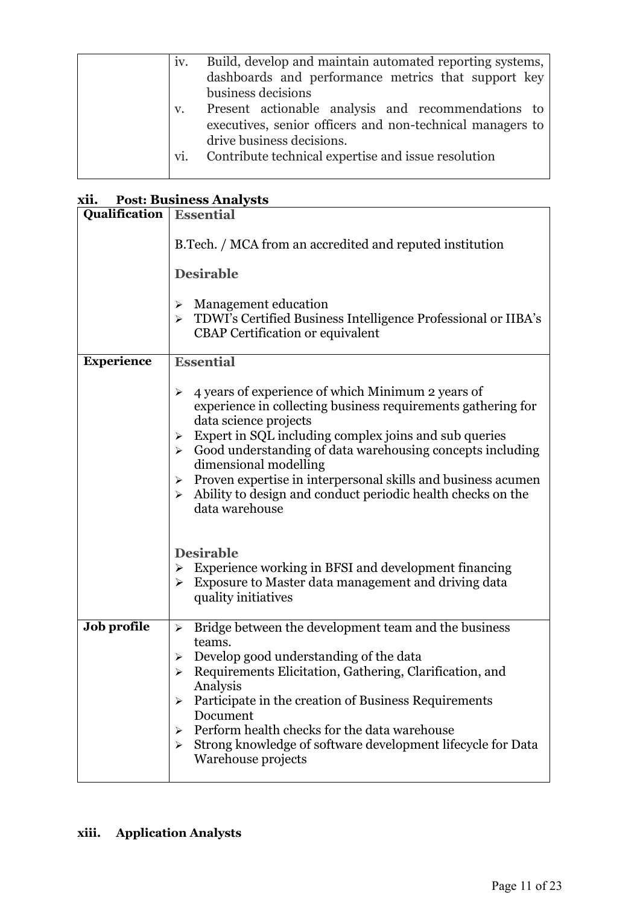| IV. | Build, develop and maintain automated reporting systems,  |
|-----|-----------------------------------------------------------|
|     | dashboards and performance metrics that support key       |
|     | business decisions                                        |
| V.  | Present actionable analysis and recommendations to        |
|     | executives, senior officers and non-technical managers to |
|     | drive business decisions.                                 |
| vi. | Contribute technical expertise and issue resolution       |
|     |                                                           |

# **xii. Post: Business Analysts**

| <b>Qualification</b>   Essential |                                                                                                                                                                                                                                                                                                                                                                                                                                                                                                                 |  |  |
|----------------------------------|-----------------------------------------------------------------------------------------------------------------------------------------------------------------------------------------------------------------------------------------------------------------------------------------------------------------------------------------------------------------------------------------------------------------------------------------------------------------------------------------------------------------|--|--|
|                                  | B.Tech. / MCA from an accredited and reputed institution                                                                                                                                                                                                                                                                                                                                                                                                                                                        |  |  |
|                                  | <b>Desirable</b>                                                                                                                                                                                                                                                                                                                                                                                                                                                                                                |  |  |
|                                  | Management education<br>➤<br>> TDWI's Certified Business Intelligence Professional or IIBA's<br><b>CBAP</b> Certification or equivalent                                                                                                                                                                                                                                                                                                                                                                         |  |  |
| <b>Experience</b>                | <b>Essential</b>                                                                                                                                                                                                                                                                                                                                                                                                                                                                                                |  |  |
|                                  | 4 years of experience of which Minimum 2 years of<br>➤<br>experience in collecting business requirements gathering for<br>data science projects<br>Expert in SQL including complex joins and sub queries<br>➤<br>$\triangleright$ Good understanding of data warehousing concepts including<br>dimensional modelling<br>$\triangleright$ Proven expertise in interpersonal skills and business acumen<br>Ability to design and conduct periodic health checks on the<br>$\blacktriangleright$<br>data warehouse |  |  |
|                                  | <b>Desirable</b><br>Experience working in BFSI and development financing<br>➤<br>Exposure to Master data management and driving data<br>➤<br>quality initiatives                                                                                                                                                                                                                                                                                                                                                |  |  |
| Job profile                      | Bridge between the development team and the business<br>➤<br>teams.<br>Develop good understanding of the data<br>➤<br>Requirements Elicitation, Gathering, Clarification, and<br>Analysis<br>Participate in the creation of Business Requirements<br>➤<br>Document<br>Perform health checks for the data warehouse<br>⋗<br>Strong knowledge of software development lifecycle for Data<br>➤<br>Warehouse projects                                                                                               |  |  |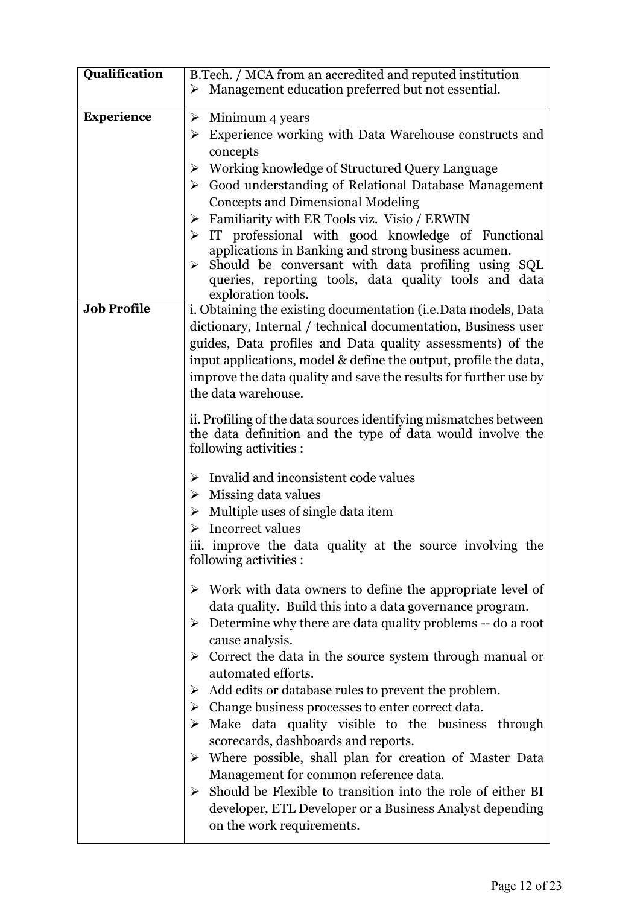| Qualification     | B.Tech. / MCA from an accredited and reputed institution                             |
|-------------------|--------------------------------------------------------------------------------------|
|                   | $\triangleright$ Management education preferred but not essential.                   |
|                   |                                                                                      |
| <b>Experience</b> | $\triangleright$ Minimum 4 years                                                     |
|                   | $\triangleright$ Experience working with Data Warehouse constructs and               |
|                   | concepts                                                                             |
|                   | > Working knowledge of Structured Query Language                                     |
|                   | Sood understanding of Relational Database Management                                 |
|                   |                                                                                      |
|                   | <b>Concepts and Dimensional Modeling</b>                                             |
|                   | $\triangleright$ Familiarity with ER Tools viz. Visio / ERWIN                        |
|                   | $\triangleright$ IT professional with good knowledge of Functional                   |
|                   | applications in Banking and strong business acumen.                                  |
|                   | Should be conversant with data profiling using SQL<br>➤                              |
|                   | queries, reporting tools, data quality tools and data                                |
| Job Profile       | exploration tools.                                                                   |
|                   | i. Obtaining the existing documentation (i.e.Data models, Data                       |
|                   | dictionary, Internal / technical documentation, Business user                        |
|                   | guides, Data profiles and Data quality assessments) of the                           |
|                   | input applications, model & define the output, profile the data,                     |
|                   | improve the data quality and save the results for further use by                     |
|                   | the data warehouse.                                                                  |
|                   |                                                                                      |
|                   | ii. Profiling of the data sources identifying mismatches between                     |
|                   | the data definition and the type of data would involve the<br>following activities : |
|                   |                                                                                      |
|                   | Invalid and inconsistent code values<br>➤                                            |
|                   | $\triangleright$ Missing data values                                                 |
|                   | $\triangleright$ Multiple uses of single data item                                   |
|                   | $\triangleright$ Incorrect values                                                    |
|                   |                                                                                      |
|                   | iii. improve the data quality at the source involving the                            |
|                   | following activities :                                                               |
|                   | $\triangleright$ Work with data owners to define the appropriate level of            |
|                   | data quality. Build this into a data governance program.                             |
|                   |                                                                                      |
|                   | $\triangleright$ Determine why there are data quality problems -- do a root          |
|                   | cause analysis.                                                                      |
|                   | $\triangleright$ Correct the data in the source system through manual or             |
|                   | automated efforts.                                                                   |
|                   | $\triangleright$ Add edits or database rules to prevent the problem.                 |
|                   | $\triangleright$ Change business processes to enter correct data.                    |
|                   | $\triangleright$ Make data quality visible to the business through                   |
|                   | scorecards, dashboards and reports.                                                  |
|                   | $\triangleright$ Where possible, shall plan for creation of Master Data              |
|                   | Management for common reference data.                                                |
|                   | > Should be Flexible to transition into the role of either BI                        |
|                   | developer, ETL Developer or a Business Analyst depending                             |
|                   |                                                                                      |
|                   | on the work requirements.                                                            |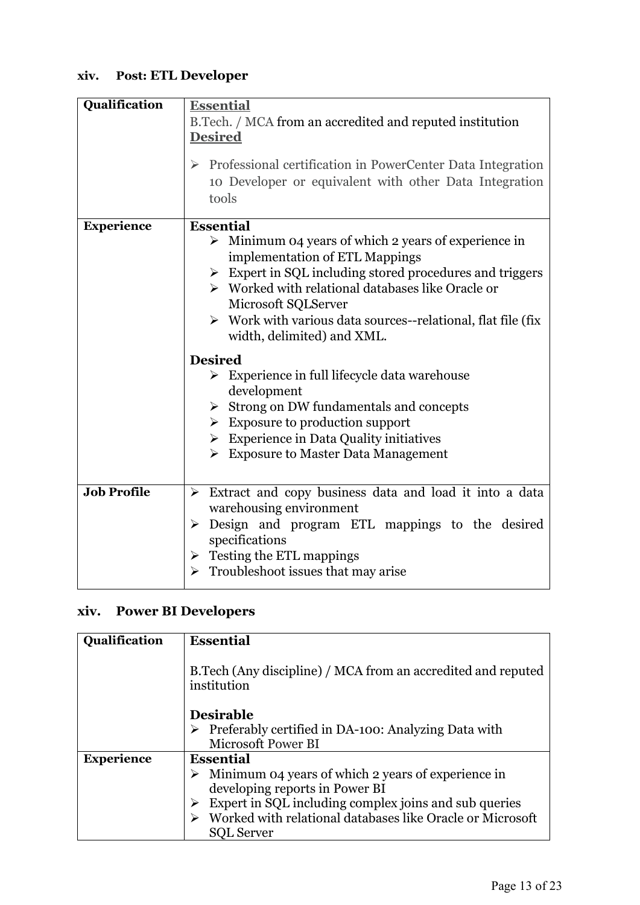# **xiv. Post: ETL Developer**

| Qualification      | <b>Essential</b>                                                            |  |  |  |
|--------------------|-----------------------------------------------------------------------------|--|--|--|
|                    | B.Tech. / MCA from an accredited and reputed institution                    |  |  |  |
|                    | <b>Desired</b>                                                              |  |  |  |
|                    |                                                                             |  |  |  |
|                    | $\triangleright$ Professional certification in PowerCenter Data Integration |  |  |  |
|                    | 10 Developer or equivalent with other Data Integration                      |  |  |  |
|                    | tools                                                                       |  |  |  |
| <b>Experience</b>  | <b>Essential</b>                                                            |  |  |  |
|                    | $\triangleright$ Minimum 04 years of which 2 years of experience in         |  |  |  |
|                    | implementation of ETL Mappings                                              |  |  |  |
|                    | $\triangleright$ Expert in SQL including stored procedures and triggers     |  |  |  |
|                    | $\triangleright$ Worked with relational databases like Oracle or            |  |  |  |
|                    | Microsoft SQLServer                                                         |  |  |  |
|                    | $\triangleright$ Work with various data sources--relational, flat file (fix |  |  |  |
|                    | width, delimited) and XML.                                                  |  |  |  |
|                    | <b>Desired</b>                                                              |  |  |  |
|                    | $\triangleright$ Experience in full lifecycle data warehouse                |  |  |  |
|                    | development                                                                 |  |  |  |
|                    | $\triangleright$ Strong on DW fundamentals and concepts                     |  |  |  |
|                    | $\triangleright$ Exposure to production support                             |  |  |  |
|                    | $\triangleright$ Experience in Data Quality initiatives                     |  |  |  |
|                    | $\triangleright$ Exposure to Master Data Management                         |  |  |  |
|                    |                                                                             |  |  |  |
| <b>Job Profile</b> | > Extract and copy business data and load it into a data                    |  |  |  |
|                    | warehousing environment                                                     |  |  |  |
|                    | $\triangleright$ Design and program ETL mappings to the desired             |  |  |  |
|                    | specifications                                                              |  |  |  |
|                    | $\triangleright$ Testing the ETL mappings                                   |  |  |  |
|                    | $\triangleright$ Troubleshoot issues that may arise                         |  |  |  |
|                    |                                                                             |  |  |  |

# **xiv. Power BI Developers**

| Qualification     | <b>Essential</b>                                                                                      |  |  |
|-------------------|-------------------------------------------------------------------------------------------------------|--|--|
|                   | B.Tech (Any discipline) / MCA from an accredited and reputed<br>institution                           |  |  |
|                   | <b>Desirable</b>                                                                                      |  |  |
|                   | $\triangleright$ Preferably certified in DA-100: Analyzing Data with                                  |  |  |
|                   | Microsoft Power BI                                                                                    |  |  |
| <b>Experience</b> | <b>Essential</b>                                                                                      |  |  |
|                   | $\triangleright$ Minimum 04 years of which 2 years of experience in<br>developing reports in Power BI |  |  |
|                   | Expert in SQL including complex joins and sub queries                                                 |  |  |
|                   | Worked with relational databases like Oracle or Microsoft                                             |  |  |
|                   | <b>SOL Server</b>                                                                                     |  |  |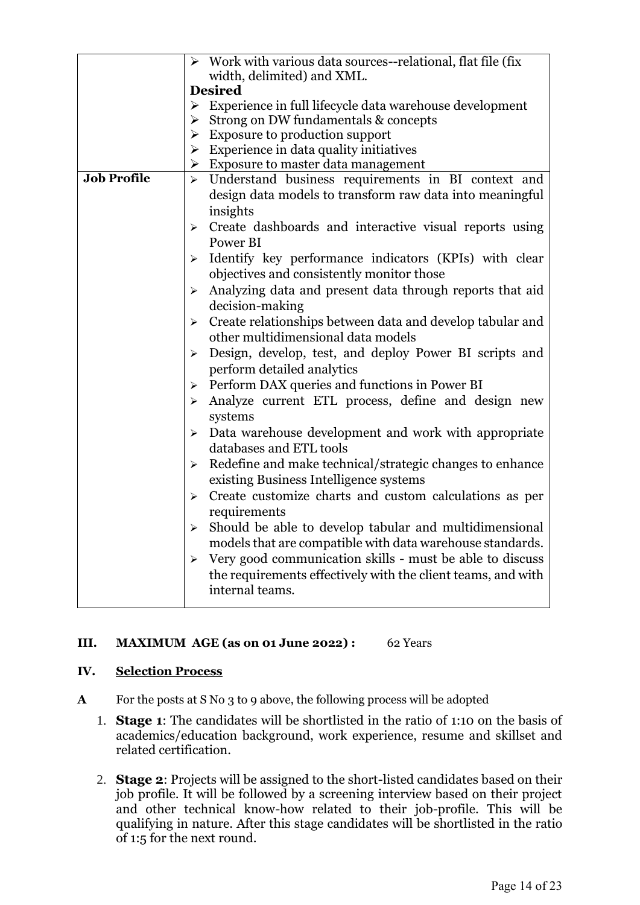|                    | $\triangleright$ Work with various data sources--relational, flat file (fix        |  |  |
|--------------------|------------------------------------------------------------------------------------|--|--|
|                    | width, delimited) and XML.                                                         |  |  |
|                    | <b>Desired</b>                                                                     |  |  |
|                    | $\triangleright$ Experience in full lifecycle data warehouse development           |  |  |
|                    | Strong on DW fundamentals & concepts<br>➤                                          |  |  |
|                    | $\triangleright$ Exposure to production support                                    |  |  |
|                    | $\triangleright$ Experience in data quality initiatives                            |  |  |
|                    | $\triangleright$ Exposure to master data management                                |  |  |
| <b>Job Profile</b> | Understand business requirements in BI context and<br>$\blacktriangleright$        |  |  |
|                    | design data models to transform raw data into meaningful                           |  |  |
|                    | insights                                                                           |  |  |
|                    | Create dashboards and interactive visual reports using<br>➤                        |  |  |
|                    | Power BI                                                                           |  |  |
|                    |                                                                                    |  |  |
|                    | Identify key performance indicators (KPIs) with clear<br>≻                         |  |  |
|                    | objectives and consistently monitor those                                          |  |  |
|                    | Analyzing data and present data through reports that aid<br>➤                      |  |  |
|                    | decision-making                                                                    |  |  |
|                    | Create relationships between data and develop tabular and<br>$\blacktriangleright$ |  |  |
|                    | other multidimensional data models                                                 |  |  |
|                    | Design, develop, test, and deploy Power BI scripts and<br>➤                        |  |  |
|                    | perform detailed analytics                                                         |  |  |
|                    | Perform DAX queries and functions in Power BI<br>≻                                 |  |  |
|                    | Analyze current ETL process, define and design new<br>$\blacktriangleright$        |  |  |
|                    |                                                                                    |  |  |
|                    | systems                                                                            |  |  |
|                    | Data warehouse development and work with appropriate<br>➤                          |  |  |
|                    | databases and ETL tools                                                            |  |  |
|                    | Redefine and make technical/strategic changes to enhance<br>➤                      |  |  |
|                    | existing Business Intelligence systems                                             |  |  |
|                    | Create customize charts and custom calculations as per<br>$\blacktriangleright$    |  |  |
|                    | requirements                                                                       |  |  |
|                    | $\triangleright$ Should be able to develop tabular and multidimensional            |  |  |
|                    | models that are compatible with data warehouse standards.                          |  |  |
|                    | Very good communication skills - must be able to discuss<br>➤                      |  |  |
|                    |                                                                                    |  |  |
|                    | the requirements effectively with the client teams, and with                       |  |  |
|                    | internal teams.                                                                    |  |  |
|                    |                                                                                    |  |  |

#### **III. MAXIMUM AGE (as on 01 June 2022) :** 62 Years

#### **IV. Selection Process**

- **A** For the posts at S No 3 to 9 above, the following process will be adopted
	- 1. **Stage 1**: The candidates will be shortlisted in the ratio of 1:10 on the basis of academics/education background, work experience, resume and skillset and related certification.
	- 2. **Stage 2**: Projects will be assigned to the short-listed candidates based on their job profile. It will be followed by a screening interview based on their project and other technical know-how related to their job-profile. This will be qualifying in nature. After this stage candidates will be shortlisted in the ratio of 1:5 for the next round.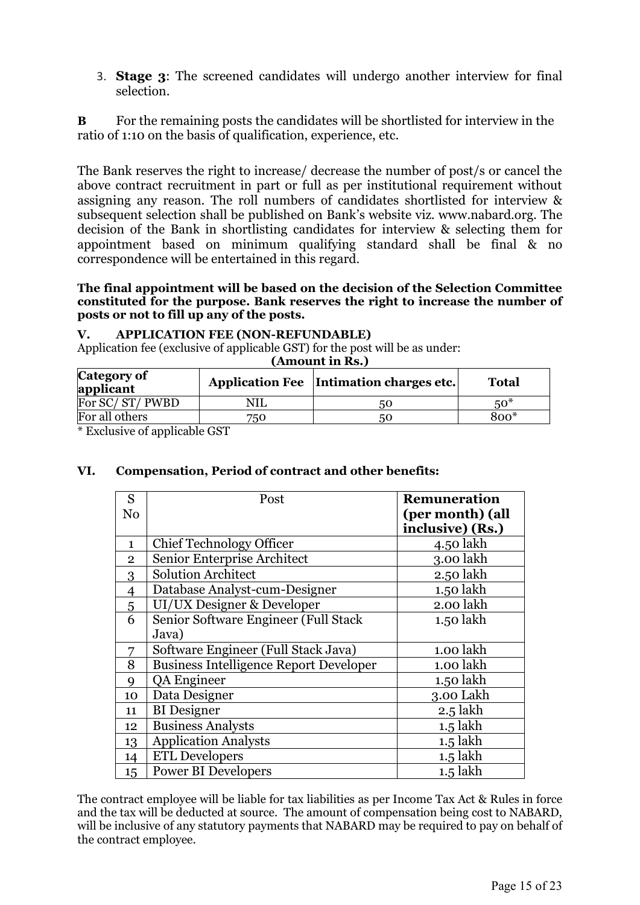3. **Stage 3**: The screened candidates will undergo another interview for final selection.

**B** For the remaining posts the candidates will be shortlisted for interview in the ratio of 1:10 on the basis of qualification, experience, etc.

The Bank reserves the right to increase/ decrease the number of post/s or cancel the above contract recruitment in part or full as per institutional requirement without assigning any reason. The roll numbers of candidates shortlisted for interview & subsequent selection shall be published on Bank's website viz. www.nabard.org. The decision of the Bank in shortlisting candidates for interview & selecting them for appointment based on minimum qualifying standard shall be final & no correspondence will be entertained in this regard.

**The final appointment will be based on the decision of the Selection Committee constituted for the purpose. Bank reserves the right to increase the number of posts or not to fill up any of the posts.** 

#### **V. APPLICATION FEE (NON-REFUNDABLE)**

Application fee (exclusive of applicable GST) for the post will be as under:

**(Amount in Rs.)**

| Category of<br>applicant |                      | Application Fee   Intimation charges etc. | Total |
|--------------------------|----------------------|-------------------------------------------|-------|
| For SC/ST/PWBD           |                      | 50                                        | $50*$ |
| For all others           | 750                  | 50                                        | 800*  |
| $\cdots$ $\cdots$        | $\sim$ $\sim$ $\sim$ |                                           |       |

\* Exclusive of applicable GST

#### **VI. Compensation, Period of contract and other benefits:**

| S              | Post                                          | <b>Remuneration</b> |
|----------------|-----------------------------------------------|---------------------|
| No             |                                               | (per month) (all    |
|                |                                               | inclusive) (Rs.)    |
| $\mathbf{1}$   | <b>Chief Technology Officer</b>               | 4.50 lakh           |
| $\mathbf{2}$   | Senior Enterprise Architect                   | 3.00 lakh           |
| 3              | <b>Solution Architect</b>                     | 2.50 lakh           |
| $\overline{4}$ | Database Analyst-cum-Designer                 | 1.50 lakh           |
| $\overline{5}$ | UI/UX Designer & Developer                    | 2.00 lakh           |
| 6              | Senior Software Engineer (Full Stack          | 1.50 lakh           |
|                | Java)                                         |                     |
| 7              | Software Engineer (Full Stack Java)           | 1.00 lakh           |
| 8              | <b>Business Intelligence Report Developer</b> | 1.00 lakh           |
| 9              | QA Engineer                                   | 1.50 lakh           |
| 10             | Data Designer                                 | 3.00 Lakh           |
| 11             | <b>BI</b> Designer                            | $2.5$ lakh          |
| 12             | <b>Business Analysts</b>                      | $1.5$ lakh          |
| 13             | <b>Application Analysts</b>                   | $1.5$ lakh          |
| 14             | <b>ETL Developers</b>                         | $1.5$ lakh          |
| 15             | <b>Power BI Developers</b>                    | $1.5$ lakh          |

The contract employee will be liable for tax liabilities as per Income Tax Act & Rules in force and the tax will be deducted at source. The amount of compensation being cost to NABARD, will be inclusive of any statutory payments that NABARD may be required to pay on behalf of the contract employee.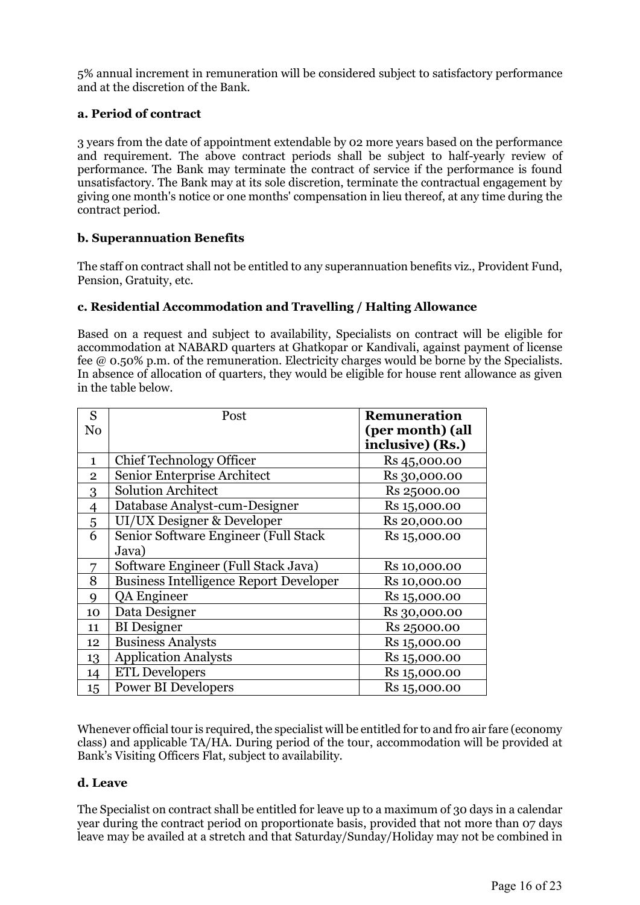5% annual increment in remuneration will be considered subject to satisfactory performance and at the discretion of the Bank.

#### **a. Period of contract**

3 years from the date of appointment extendable by 02 more years based on the performance and requirement. The above contract periods shall be subject to half-yearly review of performance. The Bank may terminate the contract of service if the performance is found unsatisfactory. The Bank may at its sole discretion, terminate the contractual engagement by giving one month's notice or one months' compensation in lieu thereof, at any time during the contract period.

#### **b. Superannuation Benefits**

The staff on contract shall not be entitled to any superannuation benefits viz., Provident Fund, Pension, Gratuity, etc.

#### **c. Residential Accommodation and Travelling / Halting Allowance**

Based on a request and subject to availability, Specialists on contract will be eligible for accommodation at NABARD quarters at Ghatkopar or Kandivali, against payment of license fee @ 0.50% p.m. of the remuneration. Electricity charges would be borne by the Specialists. In absence of allocation of quarters, they would be eligible for house rent allowance as given in the table below.

| S              | Post                                          | Remuneration     |
|----------------|-----------------------------------------------|------------------|
| No             |                                               | (per month) (all |
|                |                                               | inclusive) (Rs.) |
| $\mathbf{1}$   | <b>Chief Technology Officer</b>               | Rs 45,000.00     |
| $\mathbf{2}$   | Senior Enterprise Architect                   | Rs 30,000.00     |
| 3              | <b>Solution Architect</b>                     | Rs 25000.00      |
| $\overline{4}$ | Database Analyst-cum-Designer                 | Rs 15,000.00     |
| $\overline{5}$ | UI/UX Designer & Developer                    | Rs 20,000.00     |
| 6              | Senior Software Engineer (Full Stack          | Rs 15,000.00     |
|                | Java)                                         |                  |
| 7              | Software Engineer (Full Stack Java)           | Rs 10,000.00     |
| 8              | <b>Business Intelligence Report Developer</b> | Rs 10,000.00     |
| 9              | QA Engineer                                   | Rs 15,000.00     |
| 10             | Data Designer                                 | Rs 30,000.00     |
| 11             | <b>BI</b> Designer                            | Rs 25000.00      |
| 12             | <b>Business Analysts</b>                      | Rs 15,000.00     |
| 13             | <b>Application Analysts</b>                   | Rs 15,000.00     |
| 14             | <b>ETL Developers</b>                         | Rs 15,000.00     |
| 15             | <b>Power BI Developers</b>                    | Rs 15,000.00     |

Whenever official tour is required, the specialist will be entitled for to and fro air fare (economy class) and applicable TA/HA. During period of the tour, accommodation will be provided at Bank's Visiting Officers Flat, subject to availability.

#### **d. Leave**

The Specialist on contract shall be entitled for leave up to a maximum of 30 days in a calendar year during the contract period on proportionate basis, provided that not more than 07 days leave may be availed at a stretch and that Saturday/Sunday/Holiday may not be combined in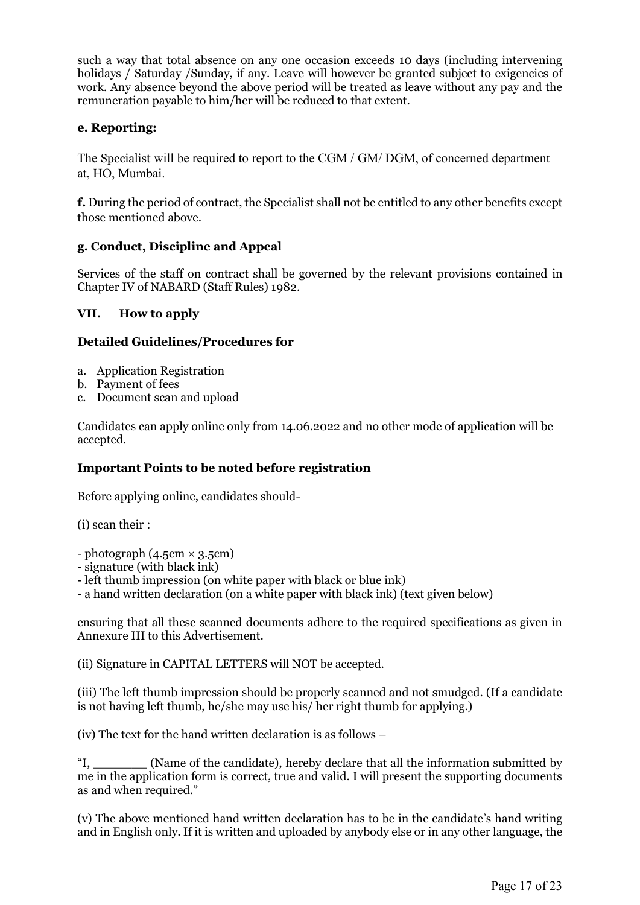such a way that total absence on any one occasion exceeds 10 days (including intervening holidays / Saturday / Sunday, if any. Leave will however be granted subject to exigencies of work. Any absence beyond the above period will be treated as leave without any pay and the remuneration payable to him/her will be reduced to that extent.

#### **e. Reporting:**

The Specialist will be required to report to the CGM / GM/ DGM, of concerned department at, HO, Mumbai.

**f.** During the period of contract, the Specialist shall not be entitled to any other benefits except those mentioned above.

#### **g. Conduct, Discipline and Appeal**

Services of the staff on contract shall be governed by the relevant provisions contained in Chapter IV of NABARD (Staff Rules) 1982.

#### **VII. How to apply**

#### **Detailed Guidelines/Procedures for**

- a. Application Registration
- b. Payment of fees
- c. Document scan and upload

Candidates can apply online only from 14.06.2022 and no other mode of application will be accepted.

#### **Important Points to be noted before registration**

Before applying online, candidates should-

(i) scan their :

 $-$  photograph (4.5cm  $\times$  3.5cm)

- signature (with black ink)

- left thumb impression (on white paper with black or blue ink)

- a hand written declaration (on a white paper with black ink) (text given below)

ensuring that all these scanned documents adhere to the required specifications as given in Annexure III to this Advertisement.

(ii) Signature in CAPITAL LETTERS will NOT be accepted.

(iii) The left thumb impression should be properly scanned and not smudged. (If a candidate is not having left thumb, he/she may use his/ her right thumb for applying.)

(iv) The text for the hand written declaration is as follows –

(Name of the candidate), hereby declare that all the information submitted by me in the application form is correct, true and valid. I will present the supporting documents as and when required."

(v) The above mentioned hand written declaration has to be in the candidate's hand writing and in English only. If it is written and uploaded by anybody else or in any other language, the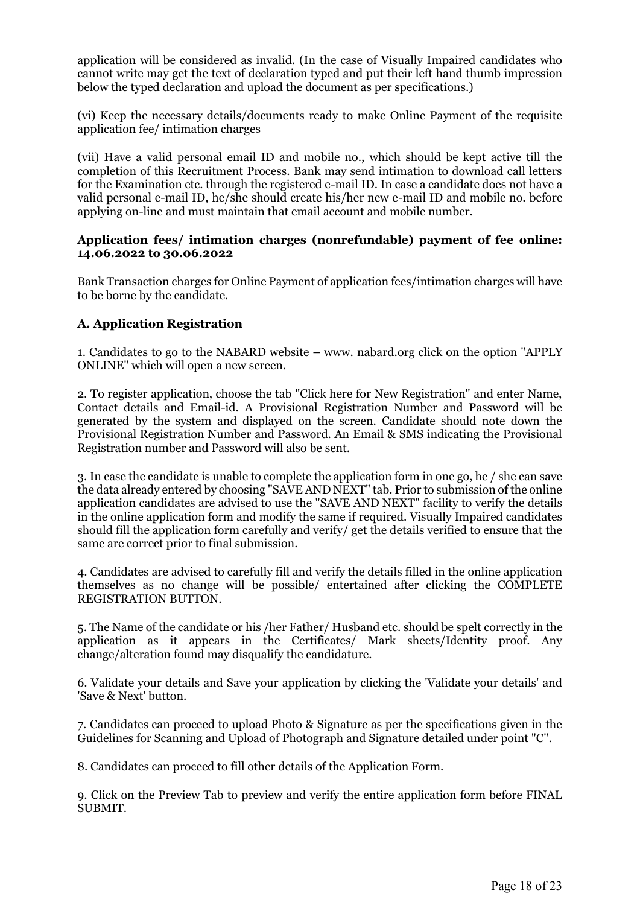application will be considered as invalid. (In the case of Visually Impaired candidates who cannot write may get the text of declaration typed and put their left hand thumb impression below the typed declaration and upload the document as per specifications.)

(vi) Keep the necessary details/documents ready to make Online Payment of the requisite application fee/ intimation charges

(vii) Have a valid personal email ID and mobile no., which should be kept active till the completion of this Recruitment Process. Bank may send intimation to download call letters for the Examination etc. through the registered e-mail ID. In case a candidate does not have a valid personal e-mail ID, he/she should create his/her new e-mail ID and mobile no. before applying on-line and must maintain that email account and mobile number.

#### **Application fees/ intimation charges (nonrefundable) payment of fee online: 14.06.2022 to 30.06.2022**

Bank Transaction charges for Online Payment of application fees/intimation charges will have to be borne by the candidate.

#### **A. Application Registration**

1. Candidates to go to the NABARD website – www. nabard.org click on the option "APPLY ONLINE" which will open a new screen.

2. To register application, choose the tab "Click here for New Registration" and enter Name, Contact details and Email-id. A Provisional Registration Number and Password will be generated by the system and displayed on the screen. Candidate should note down the Provisional Registration Number and Password. An Email & SMS indicating the Provisional Registration number and Password will also be sent.

3. In case the candidate is unable to complete the application form in one go, he / she can save the data already entered by choosing "SAVE AND NEXT" tab. Prior to submission of the online application candidates are advised to use the "SAVE AND NEXT" facility to verify the details in the online application form and modify the same if required. Visually Impaired candidates should fill the application form carefully and verify/ get the details verified to ensure that the same are correct prior to final submission.

4. Candidates are advised to carefully fill and verify the details filled in the online application themselves as no change will be possible/ entertained after clicking the COMPLETE REGISTRATION BUTTON.

5. The Name of the candidate or his /her Father/ Husband etc. should be spelt correctly in the application as it appears in the Certificates/ Mark sheets/Identity proof. Any change/alteration found may disqualify the candidature.

6. Validate your details and Save your application by clicking the 'Validate your details' and 'Save & Next' button.

7. Candidates can proceed to upload Photo & Signature as per the specifications given in the Guidelines for Scanning and Upload of Photograph and Signature detailed under point "C".

8. Candidates can proceed to fill other details of the Application Form.

9. Click on the Preview Tab to preview and verify the entire application form before FINAL SUBMIT.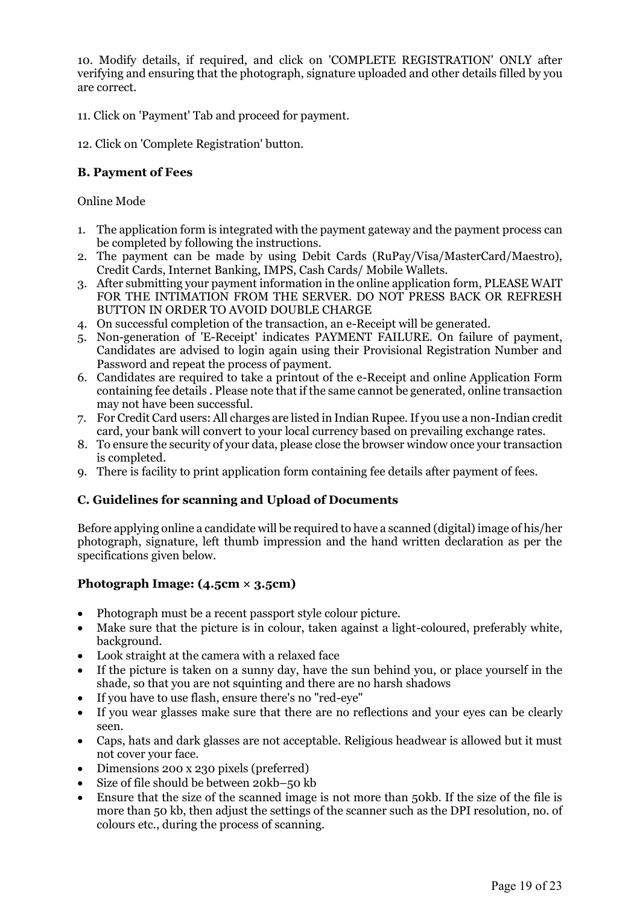10. Modify details, if required, and click on 'COMPLETE REGISTRATION' ONLY after verifying and ensuring that the photograph, signature uploaded and other details filled by you are correct.

- 11. Click on 'Payment' Tab and proceed for payment.
- 12. Click on 'Complete Registration' button.

#### **B. Payment of Fees**

Online Mode

- 1. The application form is integrated with the payment gateway and the payment process can be completed by following the instructions.
- 2. The payment can be made by using Debit Cards (RuPay/Visa/MasterCard/Maestro), Credit Cards, Internet Banking, IMPS, Cash Cards/ Mobile Wallets.
- 3. After submitting your payment information in the online application form, PLEASE WAIT FOR THE INTIMATION FROM THE SERVER. DO NOT PRESS BACK OR REFRESH BUTTON IN ORDER TO AVOID DOUBLE CHARGE
- 4. On successful completion of the transaction, an e-Receipt will be generated.
- 5. Non-generation of 'E-Receipt' indicates PAYMENT FAILURE. On failure of payment, Candidates are advised to login again using their Provisional Registration Number and Password and repeat the process of payment.
- 6. Candidates are required to take a printout of the e-Receipt and online Application Form containing fee details . Please note that if the same cannot be generated, online transaction may not have been successful.
- 7. For Credit Card users: All charges are listed in Indian Rupee. If you use a non-Indian credit card, your bank will convert to your local currency based on prevailing exchange rates.
- 8. To ensure the security of your data, please close the browser window once your transaction is completed.
- 9. There is facility to print application form containing fee details after payment of fees.

#### **C. Guidelines for scanning and Upload of Documents**

Before applying online a candidate will be required to have a scanned (digital) image of his/her photograph, signature, left thumb impression and the hand written declaration as per the specifications given below.

#### **Photograph Image: (4.5cm × 3.5cm)**

- Photograph must be a recent passport style colour picture.
- Make sure that the picture is in colour, taken against a light-coloured, preferably white, background.
- Look straight at the camera with a relaxed face
- If the picture is taken on a sunny day, have the sun behind you, or place yourself in the shade, so that you are not squinting and there are no harsh shadows
- If you have to use flash, ensure there's no "red-eye"
- If you wear glasses make sure that there are no reflections and your eyes can be clearly seen.
- Caps, hats and dark glasses are not acceptable. Religious headwear is allowed but it must not cover your face.
- Dimensions 200 x 230 pixels (preferred)
- Size of file should be between 20kb–50 kb
- Ensure that the size of the scanned image is not more than 50kb. If the size of the file is more than 50 kb, then adjust the settings of the scanner such as the DPI resolution, no. of colours etc., during the process of scanning.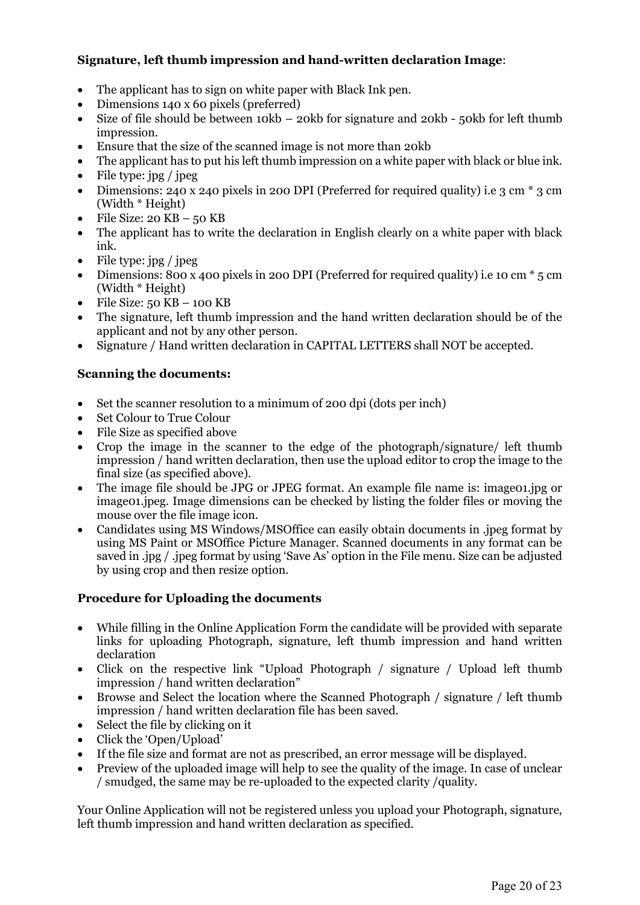#### **Signature, left thumb impression and hand-written declaration Image**:

- The applicant has to sign on white paper with Black Ink pen.
- Dimensions 140 x 60 pixels (preferred)
- Size of file should be between 10kb 20kb for signature and 20kb 50kb for left thumb impression.
- Ensure that the size of the scanned image is not more than 20kb
- The applicant has to put his left thumb impression on a white paper with black or blue ink.
- File type: jpg / jpeg
- Dimensions: 240 x 240 pixels in 200 DPI (Preferred for required quality) i.e 3 cm \* 3 cm (Width \* Height)
- $\bullet$  File Size: 20 KB 50 KB
- The applicant has to write the declaration in English clearly on a white paper with black ink.
- $\bullet$  File type: jpg / jpeg
- Dimensions: 800 x 400 pixels in 200 DPI (Preferred for required quality) i.e 10 cm  $*$  5 cm (Width \* Height)
- $\bullet$  File Size: 50 KB 100 KB
- The signature, left thumb impression and the hand written declaration should be of the applicant and not by any other person.
- Signature / Hand written declaration in CAPITAL LETTERS shall NOT be accepted.

#### **Scanning the documents:**

- Set the scanner resolution to a minimum of 200 dpi (dots per inch)
- Set Colour to True Colour
- File Size as specified above
- Crop the image in the scanner to the edge of the photograph/signature/ left thumb impression / hand written declaration, then use the upload editor to crop the image to the final size (as specified above).
- The image file should be JPG or JPEG format. An example file name is: imageoning or image01.jpeg. Image dimensions can be checked by listing the folder files or moving the mouse over the file image icon.
- Candidates using MS Windows/MSOffice can easily obtain documents in .jpeg format by using MS Paint or MSOffice Picture Manager. Scanned documents in any format can be saved in .jpg / .jpeg format by using 'Save As' option in the File menu. Size can be adjusted by using crop and then resize option.

#### **Procedure for Uploading the documents**

- While filling in the Online Application Form the candidate will be provided with separate links for uploading Photograph, signature, left thumb impression and hand written declaration<sup>1</sup>
- Click on the respective link "Upload Photograph / signature / Upload left thumb impression / hand written declaration"
- Browse and Select the location where the Scanned Photograph / signature / left thumb impression / hand written declaration file has been saved.
- $\bullet$  Select the file by clicking on it
- Click the 'Open/Upload'
- If the file size and format are not as prescribed, an error message will be displayed.
- Preview of the uploaded image will help to see the quality of the image. In case of unclear / smudged, the same may be re-uploaded to the expected clarity /quality.

Your Online Application will not be registered unless you upload your Photograph, signature, left thumb impression and hand written declaration as specified.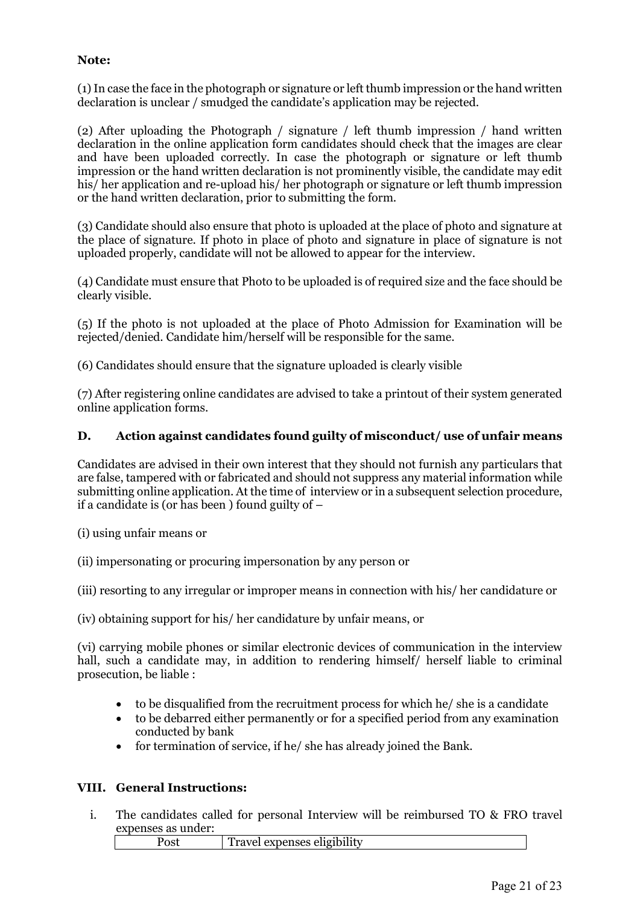#### **Note:**

(1) In case the face in the photograph or signature or left thumb impression or the hand written declaration is unclear / smudged the candidate's application may be rejected.

(2) After uploading the Photograph / signature / left thumb impression / hand written declaration in the online application form candidates should check that the images are clear and have been uploaded correctly. In case the photograph or signature or left thumb impression or the hand written declaration is not prominently visible, the candidate may edit his/ her application and re-upload his/ her photograph or signature or left thumb impression or the hand written declaration, prior to submitting the form.

(3) Candidate should also ensure that photo is uploaded at the place of photo and signature at the place of signature. If photo in place of photo and signature in place of signature is not uploaded properly, candidate will not be allowed to appear for the interview.

(4) Candidate must ensure that Photo to be uploaded is of required size and the face should be clearly visible.

(5) If the photo is not uploaded at the place of Photo Admission for Examination will be rejected/denied. Candidate him/herself will be responsible for the same.

(6) Candidates should ensure that the signature uploaded is clearly visible

(7) After registering online candidates are advised to take a printout of their system generated online application forms.

#### **D. Action against candidates found guilty of misconduct/ use of unfair means**

Candidates are advised in their own interest that they should not furnish any particulars that are false, tampered with or fabricated and should not suppress any material information while submitting online application. At the time of interview or in a subsequent selection procedure, if a candidate is (or has been ) found guilty of –

- (i) using unfair means or
- (ii) impersonating or procuring impersonation by any person or

(iii) resorting to any irregular or improper means in connection with his/ her candidature or

(iv) obtaining support for his/ her candidature by unfair means, or

(vi) carrying mobile phones or similar electronic devices of communication in the interview hall, such a candidate may, in addition to rendering himself/ herself liable to criminal prosecution, be liable :

- to be disqualified from the recruitment process for which he/ she is a candidate
- to be debarred either permanently or for a specified period from any examination conducted by bank
- for termination of service, if he/ she has already joined the Bank.

#### **VIII. General Instructions:**

i. The candidates called for personal Interview will be reimbursed TO & FRO travel expenses as under:

Post Travel expenses eligibility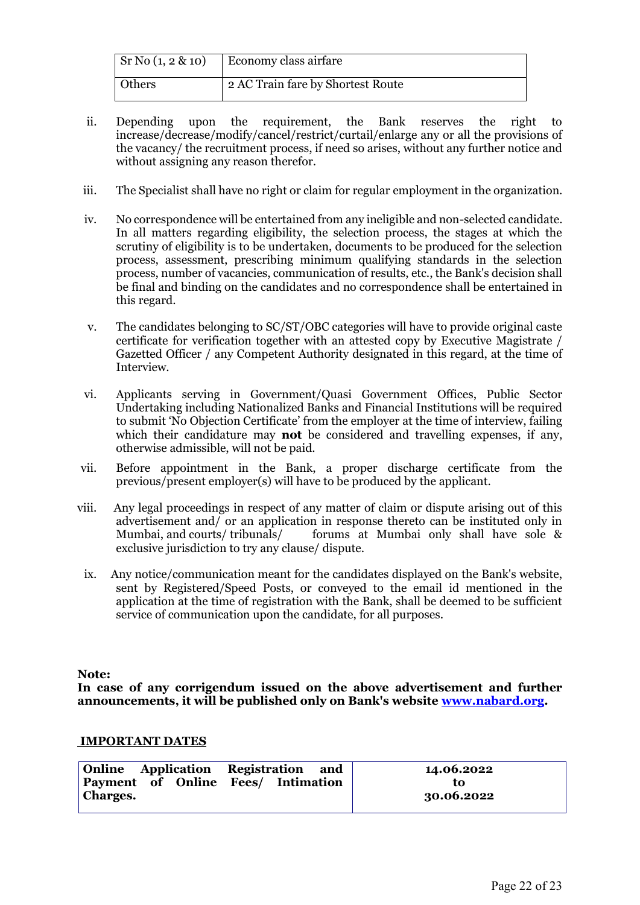| $\rm Sr\,No\,(1, 2\&10)$ | Economy class airfare             |  |  |
|--------------------------|-----------------------------------|--|--|
| <b>Others</b>            | 2 AC Train fare by Shortest Route |  |  |

- ii. Depending upon the requirement, the Bank reserves the right to increase/decrease/modify/cancel/restrict/curtail/enlarge any or all the provisions of the vacancy/ the recruitment process, if need so arises, without any further notice and without assigning any reason therefor.
- iii. The Specialist shall have no right or claim for regular employment in the organization.
- iv. No correspondence will be entertained from any ineligible and non-selected candidate. In all matters regarding eligibility, the selection process, the stages at which the scrutiny of eligibility is to be undertaken, documents to be produced for the selection process, assessment, prescribing minimum qualifying standards in the selection process, number of vacancies, communication of results, etc., the Bank's decision shall be final and binding on the candidates and no correspondence shall be entertained in this regard.
- v. The candidates belonging to SC/ST/OBC categories will have to provide original caste certificate for verification together with an attested copy by Executive Magistrate / Gazetted Officer / any Competent Authority designated in this regard, at the time of Interview.
- vi. Applicants serving in Government/Quasi Government Offices, Public Sector Undertaking including Nationalized Banks and Financial Institutions will be required to submit 'No Objection Certificate' from the employer at the time of interview, failing which their candidature may **not** be considered and travelling expenses, if any, otherwise admissible, will not be paid.
- vii. Before appointment in the Bank, a proper discharge certificate from the previous/present employer(s) will have to be produced by the applicant.
- viii. Any legal proceedings in respect of any matter of claim or dispute arising out of this advertisement and/ or an application in response thereto can be instituted only in Mumbai, and courts/ tribunals/ forums at Mumbai only shall have sole & exclusive jurisdiction to try any clause/ dispute.
	- ix. Any notice/communication meant for the candidates displayed on the Bank's website, sent by Registered/Speed Posts, or conveyed to the email id mentioned in the application at the time of registration with the Bank, shall be deemed to be sufficient service of communication upon the candidate, for all purposes.

**Note:** 

**In case of any corrigendum issued on the above advertisement and further announcements, it will be published only on Bank's website [www.nabard.org.](http://www.nabard.org/)**

#### **IMPORTANT DATES**

| Online Application Registration and                   |  | 14.06.2022       |
|-------------------------------------------------------|--|------------------|
| Payment of Online Fees/ Intimation<br><b>Charges.</b> |  | tο<br>30.06.2022 |
|                                                       |  |                  |